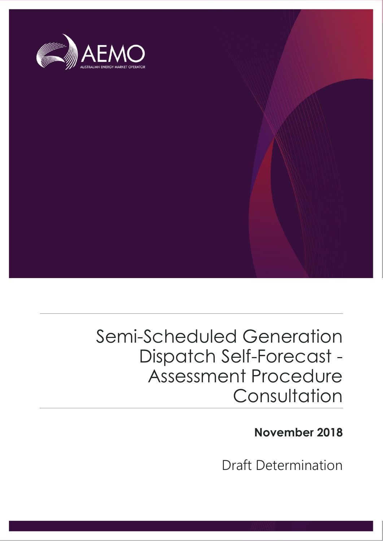

# Semi-Scheduled Generation Dispatch Self-Forecast - Assessment Procedure **Consultation**

**November 2018**

Draft Determination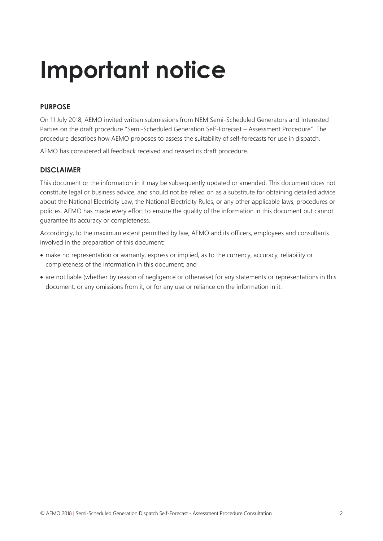# **Important notice**

#### **PURPOSE**

On 11 July 2018, AEMO invited written submissions from NEM Semi-Scheduled Generators and Interested Parties on the draft procedure "Semi-Scheduled Generation Self-Forecast – Assessment Procedure". The procedure describes how AEMO proposes to assess the suitability of self-forecasts for use in dispatch.

AEMO has considered all feedback received and revised its draft procedure.

#### **DISCLAIMER**

This document or the information in it may be subsequently updated or amended. This document does not constitute legal or business advice, and should not be relied on as a substitute for obtaining detailed advice about the National Electricity Law, the National Electricity Rules, or any other applicable laws, procedures or policies. AEMO has made every effort to ensure the quality of the information in this document but cannot guarantee its accuracy or completeness.

Accordingly, to the maximum extent permitted by law, AEMO and its officers, employees and consultants involved in the preparation of this document:

- make no representation or warranty, express or implied, as to the currency, accuracy, reliability or completeness of the information in this document; and
- are not liable (whether by reason of negligence or otherwise) for any statements or representations in this document, or any omissions from it, or for any use or reliance on the information in it.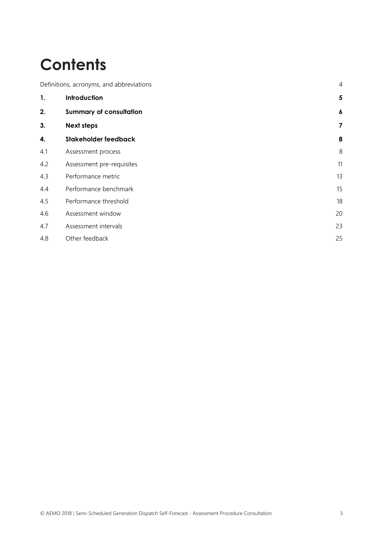# **Contents**

|     | $\overline{4}$<br>Definitions, acronyms, and abbreviations |                         |
|-----|------------------------------------------------------------|-------------------------|
| 1.  | Introduction                                               | $5\phantom{.0}$         |
| 2.  | <b>Summary of consultation</b>                             | $\boldsymbol{6}$        |
| 3.  | <b>Next steps</b>                                          | $\overline{\mathbf{z}}$ |
| 4.  | Stakeholder feedback                                       | 8                       |
| 4.1 | Assessment process                                         | 8                       |
| 4.2 | Assessment pre-requisites                                  | 11                      |
| 4.3 | Performance metric                                         | 13                      |
| 4.4 | Performance benchmark                                      | 15                      |
| 4.5 | Performance threshold                                      | 18                      |
| 4.6 | Assessment window                                          | 20                      |
| 4.7 | Assessment intervals                                       | 23                      |
| 4.8 | Other feedback                                             | 25                      |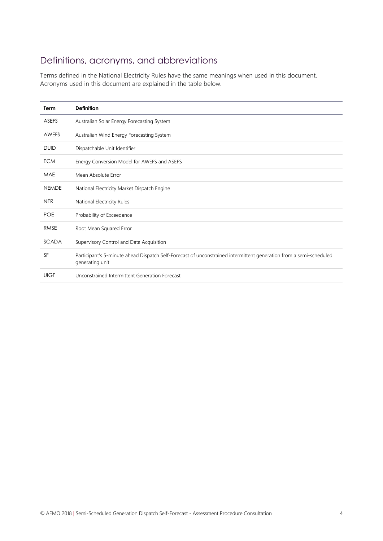# <span id="page-3-0"></span>Definitions, acronyms, and abbreviations

Terms defined in the National Electricity Rules have the same meanings when used in this document. Acronyms used in this document are explained in the table below.

| <b>Term</b>  | <b>Definition</b>                                                                                                                     |
|--------------|---------------------------------------------------------------------------------------------------------------------------------------|
| <b>ASEFS</b> | Australian Solar Energy Forecasting System                                                                                            |
| AWEFS        | Australian Wind Energy Forecasting System                                                                                             |
| <b>DUID</b>  | Dispatchable Unit Identifier                                                                                                          |
| <b>ECM</b>   | Energy Conversion Model for AWEFS and ASEFS                                                                                           |
| MAE          | Mean Absolute Error                                                                                                                   |
| <b>NEMDE</b> | National Electricity Market Dispatch Engine                                                                                           |
| <b>NER</b>   | National Electricity Rules                                                                                                            |
| <b>POE</b>   | Probability of Exceedance                                                                                                             |
| <b>RMSE</b>  | Root Mean Squared Error                                                                                                               |
| <b>SCADA</b> | Supervisory Control and Data Acquisition                                                                                              |
| <b>SF</b>    | Participant's 5-minute ahead Dispatch Self-Forecast of unconstrained intermittent generation from a semi-scheduled<br>generating unit |
| <b>UIGF</b>  | Unconstrained Intermittent Generation Forecast                                                                                        |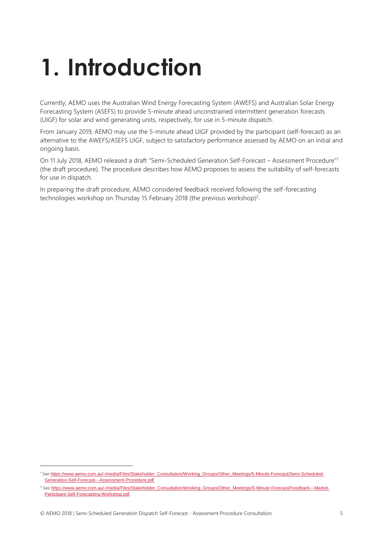# <span id="page-4-0"></span>**1. Introduction**

Currently, AEMO uses the Australian Wind Energy Forecasting System (AWEFS) and Australian Solar Energy Forecasting System (ASEFS) to provide 5-minute ahead unconstrained intermittent generation forecasts (UIGF) for solar and wind generating units, respectively, for use in 5-minute dispatch.

From January 2019, AEMO may use the 5-minute ahead UIGF provided by the participant (self-forecast) as an alternative to the AWEFS/ASEFS UIGF, subject to satisfactory performance assessed by AEMO on an initial and ongoing basis.

On 11 July 2018, AEMO released a draft "Semi-Scheduled Generation Self-Forecast – Assessment Procedure" 1 (the draft procedure). The procedure describes how AEMO proposes to assess the suitability of self-forecasts for use in dispatch.

In preparing the draft procedure, AEMO considered feedback received following the self-forecasting technologies workshop on Thursday 15 February 2018 (the previous workshop)<sup>2</sup>.

 $\overline{a}$ 

<sup>1</sup> See [https://www.aemo.com.au/-/media/Files/Stakeholder\\_Consultation/Working\\_Groups/Other\\_Meetings/5-Minute-Forecast/Semi-Scheduled-](https://www.aemo.com.au/-/media/Files/Stakeholder_Consultation/Working_Groups/Other_Meetings/5-Minute-Forecast/Semi-Scheduled-Generation-Self-Forecast---Assessment-Procedure.pdf)[Generation-Self-Forecast---Assessment-Procedure.pdf](https://www.aemo.com.au/-/media/Files/Stakeholder_Consultation/Working_Groups/Other_Meetings/5-Minute-Forecast/Semi-Scheduled-Generation-Self-Forecast---Assessment-Procedure.pdf).

<sup>&</sup>lt;sup>2</sup> See [https://www.aemo.com.au/-/media/Files/Stakeholder\\_Consultation/Working\\_Groups/Other\\_Meetings/5-Minute-Forecast/Feedback---Market-](https://www.aemo.com.au/-/media/Files/Stakeholder_Consultation/Working_Groups/Other_Meetings/5-Minute-Forecast/Feedback---Market-Participant-Self-Forecasting-Workshop.pdf)[Participant-Self-Forecasting-Workshop.pdf](https://www.aemo.com.au/-/media/Files/Stakeholder_Consultation/Working_Groups/Other_Meetings/5-Minute-Forecast/Feedback---Market-Participant-Self-Forecasting-Workshop.pdf).

<sup>©</sup> AEMO 2018 | Semi-Scheduled Generation Dispatch Self-Forecast - Assessment Procedure Consultation 5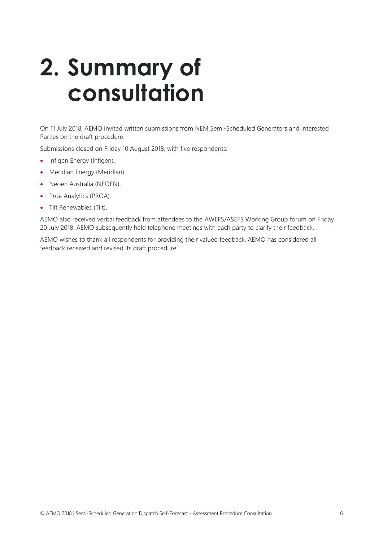# <span id="page-5-0"></span>**2. Summary of consultation**

On 11 July 2018, AEMO invited written submissions from NEM Semi-Scheduled Generators and Interested Parties on the draft procedure.

Submissions closed on Friday 10 August 2018, with five respondents:

- Infigen Energy (Infigen).
- Meridian Energy (Meridian).
- Neoen Australia (NEOEN).
- Proa Analytics (PROA).
- Tilt Renewables (Tilt).

AEMO also received verbal feedback from attendees to the AWEFS/ASEFS Working Group forum on Friday 20 July 2018. AEMO subsequently held telephone meetings with each party to clarify their feedback.

AEMO wishes to thank all respondents for providing their valued feedback. AEMO has considered all feedback received and revised its draft procedure.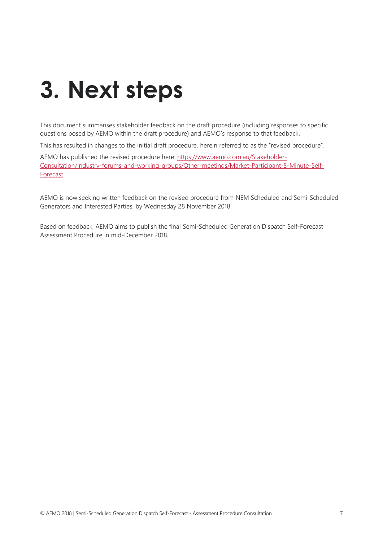# <span id="page-6-0"></span>**3. Next steps**

This document summarises stakeholder feedback on the draft procedure (including responses to specific questions posed by AEMO within the draft procedure) and AEMO's response to that feedback.

This has resulted in changes to the initial draft procedure, herein referred to as the "revised procedure".

AEMO has published the revised procedure here: [https://www.aemo.com.au/Stakeholder-](https://www.aemo.com.au/Stakeholder-Consultation/Industry-forums-and-working-groups/Other-meetings/Market-Participant-5-Minute-Self-Forecast)[Consultation/Industry-forums-and-working-groups/Other-meetings/Market-Participant-5-Minute-Self-](https://www.aemo.com.au/Stakeholder-Consultation/Industry-forums-and-working-groups/Other-meetings/Market-Participant-5-Minute-Self-Forecast)[Forecast](https://www.aemo.com.au/Stakeholder-Consultation/Industry-forums-and-working-groups/Other-meetings/Market-Participant-5-Minute-Self-Forecast)

AEMO is now seeking written feedback on the revised procedure from NEM Scheduled and Semi-Scheduled Generators and Interested Parties, by Wednesday 28 November 2018.

Based on feedback, AEMO aims to publish the final Semi-Scheduled Generation Dispatch Self-Forecast Assessment Procedure in mid-December 2018.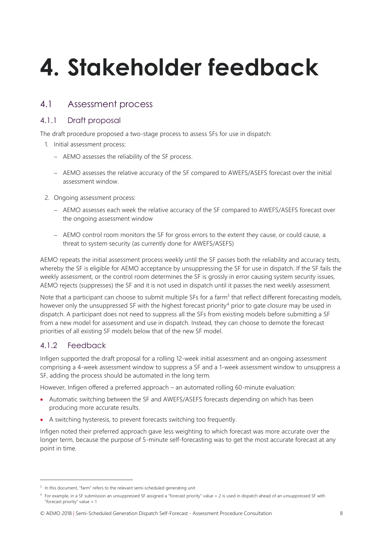# <span id="page-7-0"></span>**4. Stakeholder feedback**

### <span id="page-7-1"></span>4.1 Assessment process

#### 4.1.1 Draft proposal

The draft procedure proposed a two-stage process to assess SFs for use in dispatch:

- 1. Initial assessment process:
	- AEMO assesses the reliability of the SF process.
	- AEMO assesses the relative accuracy of the SF compared to AWEFS/ASEFS forecast over the initial assessment window.
- 2. Ongoing assessment process:
	- AEMO assesses each week the relative accuracy of the SF compared to AWEFS/ASEFS forecast over the ongoing assessment window
	- AEMO control room monitors the SF for gross errors to the extent they cause, or could cause, a threat to system security (as currently done for AWEFS/ASEFS)

AEMO repeats the initial assessment process weekly until the SF passes both the reliability and accuracy tests, whereby the SF is eligible for AEMO acceptance by unsuppressing the SF for use in dispatch. If the SF fails the weekly assessment, or the control room determines the SF is grossly in error causing system security issues, AEMO rejects (suppresses) the SF and it is not used in dispatch until it passes the next weekly assessment.

Note that a participant can choose to submit multiple SFs for a farm<sup>3</sup> that reflect different forecasting models, however only the unsuppressed SF with the highest forecast priority<sup>4</sup> prior to gate closure may be used in dispatch. A participant does not need to suppress all the SFs from existing models before submitting a SF from a new model for assessment and use in dispatch. Instead, they can choose to demote the forecast priorities of all existing SF models below that of the new SF model.

#### 4.1.2 Feedback

 $\overline{a}$ 

Infigen supported the draft proposal for a rolling 12-week initial assessment and an ongoing assessment comprising a 4-week assessment window to suppress a SF and a 1-week assessment window to unsuppress a SF, adding the process should be automated in the long term.

However, Infigen offered a preferred approach – an automated rolling 60-minute evaluation:

- Automatic switching between the SF and AWEFS/ASEFS forecasts depending on which has been producing more accurate results.
- A switching hysteresis, to prevent forecasts switching too frequently.

Infigen noted their preferred approach gave less weighting to which forecast was more accurate over the longer term, because the purpose of 5-minute self-forecasting was to get the most accurate forecast at any point in time.

© AEMO 2018 | Semi-Scheduled Generation Dispatch Self-Forecast - Assessment Procedure Consultation 8

<sup>&</sup>lt;sup>3</sup> In this document, "farm" refers to the relevant semi-scheduled generating unit

<sup>4</sup> For example, in a SF submission an unsuppressed SF assigned a "forecast priority" value = 2 is used in dispatch ahead of an unsuppressed SF with "forecast priority" value = 1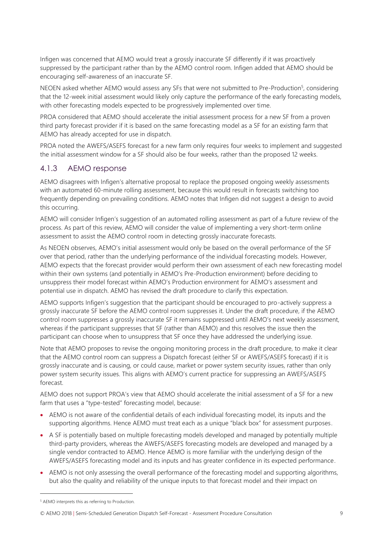Infigen was concerned that AEMO would treat a grossly inaccurate SF differently if it was proactively suppressed by the participant rather than by the AEMO control room. Infigen added that AEMO should be encouraging self-awareness of an inaccurate SF.

NEOEN asked whether AEMO would assess any SFs that were not submitted to Pre-Production<sup>5</sup>, considering that the 12-week initial assessment would likely only capture the performance of the early forecasting models, with other forecasting models expected to be progressively implemented over time.

PROA considered that AEMO should accelerate the initial assessment process for a new SF from a proven third party forecast provider if it is based on the same forecasting model as a SF for an existing farm that AEMO has already accepted for use in dispatch.

PROA noted the AWEFS/ASEFS forecast for a new farm only requires four weeks to implement and suggested the initial assessment window for a SF should also be four weeks, rather than the proposed 12 weeks.

#### 4.1.3 AEMO response

AEMO disagrees with Infigen's alternative proposal to replace the proposed ongoing weekly assessments with an automated 60-minute rolling assessment, because this would result in forecasts switching too frequently depending on prevailing conditions. AEMO notes that Infigen did not suggest a design to avoid this occurring.

AEMO will consider Infigen's suggestion of an automated rolling assessment as part of a future review of the process. As part of this review, AEMO will consider the value of implementing a very short-term online assessment to assist the AEMO control room in detecting grossly inaccurate forecasts.

As NEOEN observes, AEMO's initial assessment would only be based on the overall performance of the SF over that period, rather than the underlying performance of the individual forecasting models. However, AEMO expects that the forecast provider would perform their own assessment of each new forecasting model within their own systems (and potentially in AEMO's Pre-Production environment) before deciding to unsuppress their model forecast within AEMO's Production environment for AEMO's assessment and potential use in dispatch. AEMO has revised the draft procedure to clarify this expectation.

AEMO supports Infigen's suggestion that the participant should be encouraged to pro-actively suppress a grossly inaccurate SF before the AEMO control room suppresses it. Under the draft procedure, if the AEMO control room suppresses a grossly inaccurate SF it remains suppressed until AEMO's next weekly assessment, whereas if the participant suppresses that SF (rather than AEMO) and this resolves the issue then the participant can choose when to unsuppress that SF once they have addressed the underlying issue.

Note that AEMO proposes to revise the ongoing monitoring process in the draft procedure, to make it clear that the AEMO control room can suppress a Dispatch forecast (either SF or AWEFS/ASEFS forecast) if it is grossly inaccurate and is causing, or could cause, market or power system security issues, rather than only power system security issues. This aligns with AEMO's current practice for suppressing an AWEFS/ASEFS forecast.

AEMO does not support PROA's view that AEMO should accelerate the initial assessment of a SF for a new farm that uses a "type-tested" forecasting model, because:

- AEMO is not aware of the confidential details of each individual forecasting model, its inputs and the supporting algorithms. Hence AEMO must treat each as a unique "black box" for assessment purposes.
- A SF is potentially based on multiple forecasting models developed and managed by potentially multiple third-party providers, whereas the AWEFS/ASEFS forecasting models are developed and managed by a single vendor contracted to AEMO. Hence AEMO is more familiar with the underlying design of the AWEFS/ASEFS forecasting model and its inputs and has greater confidence in its expected performance.
- AEMO is not only assessing the overall performance of the forecasting model and supporting algorithms, but also the quality and reliability of the unique inputs to that forecast model and their impact on

 $\overline{a}$ 

<sup>5</sup> AEMO interprets this as referring to Production.

<sup>©</sup> AEMO 2018 | Semi-Scheduled Generation Dispatch Self-Forecast - Assessment Procedure Consultation 9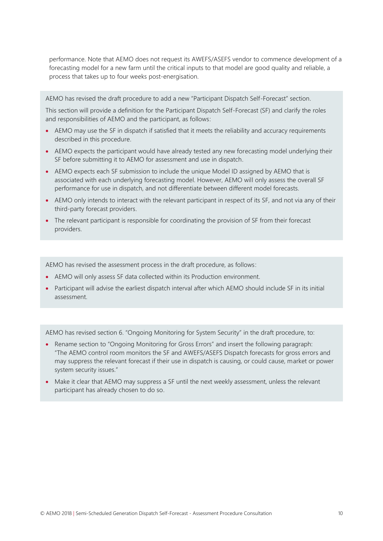performance. Note that AEMO does not request its AWEFS/ASEFS vendor to commence development of a forecasting model for a new farm until the critical inputs to that model are good quality and reliable, a process that takes up to four weeks post-energisation.

AEMO has revised the draft procedure to add a new "Participant Dispatch Self-Forecast" section.

This section will provide a definition for the Participant Dispatch Self-Forecast (SF) and clarify the roles and responsibilities of AEMO and the participant, as follows:

- AEMO may use the SF in dispatch if satisfied that it meets the reliability and accuracy requirements described in this procedure.
- AEMO expects the participant would have already tested any new forecasting model underlying their SF before submitting it to AEMO for assessment and use in dispatch.
- AEMO expects each SF submission to include the unique Model ID assigned by AEMO that is associated with each underlying forecasting model. However, AEMO will only assess the overall SF performance for use in dispatch, and not differentiate between different model forecasts.
- AEMO only intends to interact with the relevant participant in respect of its SF, and not via any of their third-party forecast providers.
- The relevant participant is responsible for coordinating the provision of SF from their forecast providers.

AEMO has revised the assessment process in the draft procedure, as follows:

- AEMO will only assess SF data collected within its Production environment.
- Participant will advise the earliest dispatch interval after which AEMO should include SF in its initial assessment.

AEMO has revised section 6. "Ongoing Monitoring for System Security" in the draft procedure, to:

- Rename section to "Ongoing Monitoring for Gross Errors" and insert the following paragraph: "The AEMO control room monitors the SF and AWEFS/ASEFS Dispatch forecasts for gross errors and may suppress the relevant forecast if their use in dispatch is causing, or could cause, market or power system security issues."
- Make it clear that AEMO may suppress a SF until the next weekly assessment, unless the relevant participant has already chosen to do so.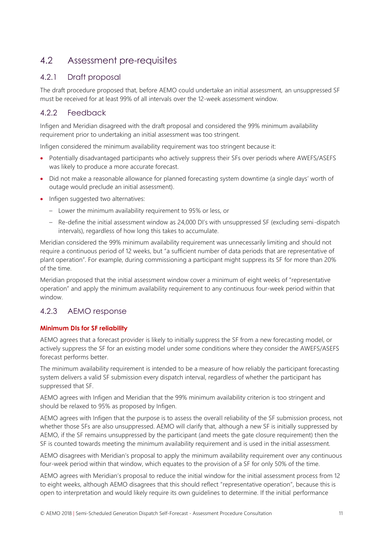## <span id="page-10-0"></span>4.2 Assessment pre-requisites

#### 4.2.1 Draft proposal

The draft procedure proposed that, before AEMO could undertake an initial assessment, an unsuppressed SF must be received for at least 99% of all intervals over the 12-week assessment window.

#### 4.2.2 Feedback

Infigen and Meridian disagreed with the draft proposal and considered the 99% minimum availability requirement prior to undertaking an initial assessment was too stringent.

Infigen considered the minimum availability requirement was too stringent because it:

- Potentially disadvantaged participants who actively suppress their SFs over periods where AWEFS/ASEFS was likely to produce a more accurate forecast.
- Did not make a reasonable allowance for planned forecasting system downtime (a single days' worth of outage would preclude an initial assessment).
- Infigen suggested two alternatives:
	- Lower the minimum availability requirement to 95% or less, or
	- Re-define the initial assessment window as 24,000 DI's with unsuppressed SF (excluding semi-dispatch intervals), regardless of how long this takes to accumulate.

Meridian considered the 99% minimum availability requirement was unnecessarily limiting and should not require a continuous period of 12 weeks, but "a sufficient number of data periods that are representative of plant operation". For example, during commissioning a participant might suppress its SF for more than 20% of the time.

Meridian proposed that the initial assessment window cover a minimum of eight weeks of "representative operation" and apply the minimum availability requirement to any continuous four-week period within that window.

#### 4.2.3 AEMO response

#### **Minimum DIs for SF reliability**

AEMO agrees that a forecast provider is likely to initially suppress the SF from a new forecasting model, or actively suppress the SF for an existing model under some conditions where they consider the AWEFS/ASEFS forecast performs better.

The minimum availability requirement is intended to be a measure of how reliably the participant forecasting system delivers a valid SF submission every dispatch interval, regardless of whether the participant has suppressed that SF.

AEMO agrees with Infigen and Meridian that the 99% minimum availability criterion is too stringent and should be relaxed to 95% as proposed by Infigen.

AEMO agrees with Infigen that the purpose is to assess the overall reliability of the SF submission process, not whether those SFs are also unsuppressed. AEMO will clarify that, although a new SF is initially suppressed by AEMO, if the SF remains unsuppressed by the participant (and meets the gate closure requirement) then the SF is counted towards meeting the minimum availability requirement and is used in the initial assessment.

AEMO disagrees with Meridian's proposal to apply the minimum availability requirement over any continuous four-week period within that window, which equates to the provision of a SF for only 50% of the time.

AEMO agrees with Meridian's proposal to reduce the initial window for the initial assessment process from 12 to eight weeks, although AEMO disagrees that this should reflect "representative operation", because this is open to interpretation and would likely require its own guidelines to determine. If the initial performance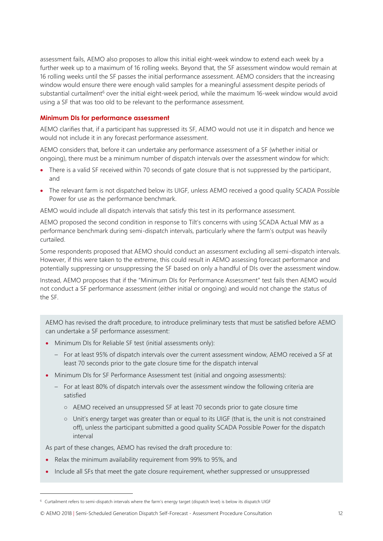assessment fails, AEMO also proposes to allow this initial eight-week window to extend each week by a further week up to a maximum of 16 rolling weeks. Beyond that, the SF assessment window would remain at 16 rolling weeks until the SF passes the initial performance assessment. AEMO considers that the increasing window would ensure there were enough valid samples for a meaningful assessment despite periods of substantial curtailment<sup>6</sup> over the initial eight-week period, while the maximum 16-week window would avoid using a SF that was too old to be relevant to the performance assessment.

#### **Minimum DIs for performance assessment**

AEMO clarifies that, if a participant has suppressed its SF, AEMO would not use it in dispatch and hence we would not include it in any forecast performance assessment.

AEMO considers that, before it can undertake any performance assessment of a SF (whether initial or ongoing), there must be a minimum number of dispatch intervals over the assessment window for which:

- There is a valid SF received within 70 seconds of gate closure that is not suppressed by the participant, and
- The relevant farm is not dispatched below its UIGF, unless AEMO received a good quality SCADA Possible Power for use as the performance benchmark.

AEMO would include all dispatch intervals that satisfy this test in its performance assessment.

AEMO proposed the second condition in response to Tilt's concerns with using SCADA Actual MW as a performance benchmark during semi-dispatch intervals, particularly where the farm's output was heavily curtailed.

Some respondents proposed that AEMO should conduct an assessment excluding all semi-dispatch intervals. However, if this were taken to the extreme, this could result in AEMO assessing forecast performance and potentially suppressing or unsuppressing the SF based on only a handful of DIs over the assessment window.

Instead, AEMO proposes that if the "Minimum DIs for Performance Assessment" test fails then AEMO would not conduct a SF performance assessment (either initial or ongoing) and would not change the status of the SF.

AEMO has revised the draft procedure, to introduce preliminary tests that must be satisfied before AEMO can undertake a SF performance assessment:

- Minimum DIs for Reliable SF test (initial assessments only):
	- For at least 95% of dispatch intervals over the current assessment window, AEMO received a SF at least 70 seconds prior to the gate closure time for the dispatch interval
- Minimum DIs for SF Performance Assessment test (initial and ongoing assessments):
	- For at least 80% of dispatch intervals over the assessment window the following criteria are satisfied
		- AEMO received an unsuppressed SF at least 70 seconds prior to gate closure time
		- Unit's energy target was greater than or equal to its UIGF (that is, the unit is not constrained off), unless the participant submitted a good quality SCADA Possible Power for the dispatch interval

As part of these changes, AEMO has revised the draft procedure to:

 $\overline{a}$ 

- Relax the minimum availability requirement from 99% to 95%, and
- Include all SFs that meet the gate closure requirement, whether suppressed or unsuppressed

<sup>6</sup> Curtailment refers to semi-dispatch intervals where the farm's energy target (dispatch level) is below its dispatch UIGF

<sup>©</sup> AEMO 2018 | Semi-Scheduled Generation Dispatch Self-Forecast - Assessment Procedure Consultation 12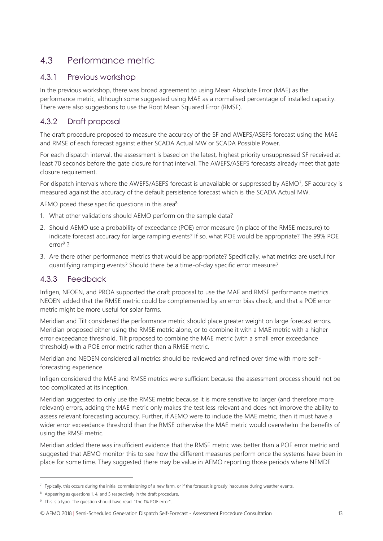# <span id="page-12-0"></span>4.3 Performance metric

#### 4.3.1 Previous workshop

In the previous workshop, there was broad agreement to using Mean Absolute Error (MAE) as the performance metric, although some suggested using MAE as a normalised percentage of installed capacity. There were also suggestions to use the Root Mean Squared Error (RMSE).

### 4.3.2 Draft proposal

The draft procedure proposed to measure the accuracy of the SF and AWEFS/ASEFS forecast using the MAE and RMSE of each forecast against either SCADA Actual MW or SCADA Possible Power.

For each dispatch interval, the assessment is based on the latest, highest priority unsuppressed SF received at least 70 seconds before the gate closure for that interval. The AWEFS/ASEFS forecasts already meet that gate closure requirement.

For dispatch intervals where the AWEFS/ASEFS forecast is unavailable or suppressed by AEMO7, SF accuracy is measured against the accuracy of the default persistence forecast which is the SCADA Actual MW.

AEMO posed these specific questions in this area<sup>8</sup>:

- 1. What other validations should AEMO perform on the sample data?
- 2. Should AEMO use a probability of exceedance (POE) error measure (in place of the RMSE measure) to indicate forecast accuracy for large ramping events? If so, what POE would be appropriate? The 99% POE error<sup>9</sup> ?
- 3. Are there other performance metrics that would be appropriate? Specifically, what metrics are useful for quantifying ramping events? Should there be a time-of-day specific error measure?

#### 4.3.3 Feedback

Infigen, NEOEN, and PROA supported the draft proposal to use the MAE and RMSE performance metrics. NEOEN added that the RMSE metric could be complemented by an error bias check, and that a POE error metric might be more useful for solar farms.

Meridian and Tilt considered the performance metric should place greater weight on large forecast errors. Meridian proposed either using the RMSE metric alone, or to combine it with a MAE metric with a higher error exceedance threshold. Tilt proposed to combine the MAE metric (with a small error exceedance threshold) with a POE error metric rather than a RMSE metric.

Meridian and NEOEN considered all metrics should be reviewed and refined over time with more selfforecasting experience.

Infigen considered the MAE and RMSE metrics were sufficient because the assessment process should not be too complicated at its inception.

Meridian suggested to only use the RMSE metric because it is more sensitive to larger (and therefore more relevant) errors, adding the MAE metric only makes the test less relevant and does not improve the ability to assess relevant forecasting accuracy. Further, if AEMO were to include the MAE metric, then it must have a wider error exceedance threshold than the RMSE otherwise the MAE metric would overwhelm the benefits of using the RMSE metric.

Meridian added there was insufficient evidence that the RMSE metric was better than a POE error metric and suggested that AEMO monitor this to see how the different measures perform once the systems have been in place for some time. They suggested there may be value in AEMO reporting those periods where NEMDE

 $\overline{a}$ 

<sup>7</sup> Typically, this occurs during the initial commissioning of a new farm, or if the forecast is grossly inaccurate during weather events.

<sup>&</sup>lt;sup>8</sup> Appearing as questions 1, 4, and 5 respectively in the draft procedure.

<sup>&</sup>lt;sup>9</sup> This is a typo. The question should have read: "The 1% POE error".

<sup>©</sup> AEMO 2018 | Semi-Scheduled Generation Dispatch Self-Forecast - Assessment Procedure Consultation 13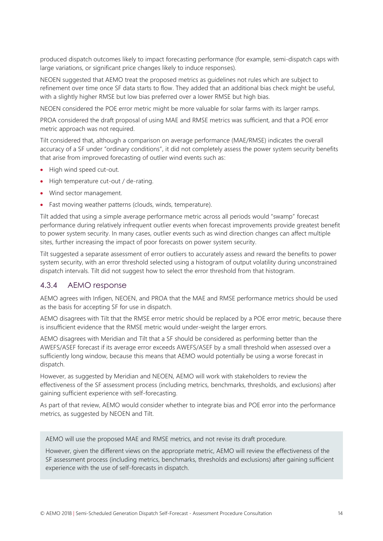produced dispatch outcomes likely to impact forecasting performance (for example, semi-dispatch caps with large variations, or significant price changes likely to induce responses).

NEOEN suggested that AEMO treat the proposed metrics as guidelines not rules which are subject to refinement over time once SF data starts to flow. They added that an additional bias check might be useful, with a slightly higher RMSE but low bias preferred over a lower RMSE but high bias.

NEOEN considered the POE error metric might be more valuable for solar farms with its larger ramps.

PROA considered the draft proposal of using MAE and RMSE metrics was sufficient, and that a POE error metric approach was not required.

Tilt considered that, although a comparison on average performance (MAE/RMSE) indicates the overall accuracy of a SF under "ordinary conditions", it did not completely assess the power system security benefits that arise from improved forecasting of outlier wind events such as:

- High wind speed cut-out.
- High temperature cut-out / de-rating.
- Wind sector management.
- Fast moving weather patterns (clouds, winds, temperature).

Tilt added that using a simple average performance metric across all periods would "swamp" forecast performance during relatively infrequent outlier events when forecast improvements provide greatest benefit to power system security. In many cases, outlier events such as wind direction changes can affect multiple sites, further increasing the impact of poor forecasts on power system security.

Tilt suggested a separate assessment of error outliers to accurately assess and reward the benefits to power system security, with an error threshold selected using a histogram of output volatility during unconstrained dispatch intervals. Tilt did not suggest how to select the error threshold from that histogram.

#### 4.3.4 AEMO response

AEMO agrees with Infigen, NEOEN, and PROA that the MAE and RMSE performance metrics should be used as the basis for accepting SF for use in dispatch.

AEMO disagrees with Tilt that the RMSE error metric should be replaced by a POE error metric, because there is insufficient evidence that the RMSE metric would under-weight the larger errors.

AEMO disagrees with Meridian and Tilt that a SF should be considered as performing better than the AWEFS/ASEF forecast if its average error exceeds AWEFS/ASEF by a small threshold when assessed over a sufficiently long window, because this means that AEMO would potentially be using a worse forecast in dispatch.

However, as suggested by Meridian and NEOEN, AEMO will work with stakeholders to review the effectiveness of the SF assessment process (including metrics, benchmarks, thresholds, and exclusions) after gaining sufficient experience with self-forecasting.

As part of that review, AEMO would consider whether to integrate bias and POE error into the performance metrics, as suggested by NEOEN and Tilt.

AEMO will use the proposed MAE and RMSE metrics, and not revise its draft procedure.

However, given the different views on the appropriate metric, AEMO will review the effectiveness of the SF assessment process (including metrics, benchmarks, thresholds and exclusions) after gaining sufficient experience with the use of self-forecasts in dispatch.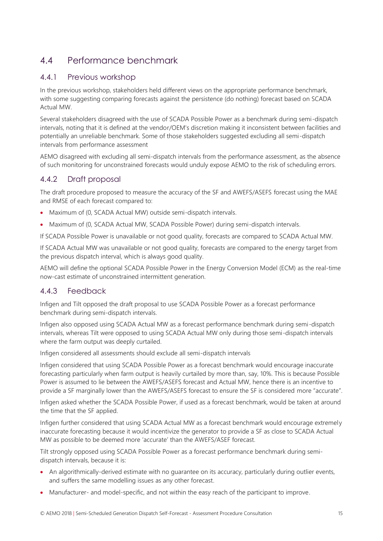# <span id="page-14-0"></span>4.4 Performance benchmark

#### 4.4.1 Previous workshop

In the previous workshop, stakeholders held different views on the appropriate performance benchmark, with some suggesting comparing forecasts against the persistence (do nothing) forecast based on SCADA Actual MW.

Several stakeholders disagreed with the use of SCADA Possible Power as a benchmark during semi-dispatch intervals, noting that it is defined at the vendor/OEM's discretion making it inconsistent between facilities and potentially an unreliable benchmark. Some of those stakeholders suggested excluding all semi-dispatch intervals from performance assessment

AEMO disagreed with excluding all semi-dispatch intervals from the performance assessment, as the absence of such monitoring for unconstrained forecasts would unduly expose AEMO to the risk of scheduling errors.

#### 4.4.2 Draft proposal

The draft procedure proposed to measure the accuracy of the SF and AWEFS/ASEFS forecast using the MAE and RMSE of each forecast compared to:

- Maximum of (0, SCADA Actual MW) outside semi-dispatch intervals.
- Maximum of (0, SCADA Actual MW, SCADA Possible Power) during semi-dispatch intervals.

If SCADA Possible Power is unavailable or not good quality, forecasts are compared to SCADA Actual MW.

If SCADA Actual MW was unavailable or not good quality, forecasts are compared to the energy target from the previous dispatch interval, which is always good quality.

AEMO will define the optional SCADA Possible Power in the Energy Conversion Model (ECM) as the real-time now-cast estimate of unconstrained intermittent generation.

#### 4.4.3 Feedback

Infigen and Tilt opposed the draft proposal to use SCADA Possible Power as a forecast performance benchmark during semi-dispatch intervals.

Infigen also opposed using SCADA Actual MW as a forecast performance benchmark during semi-dispatch intervals, whereas Tilt were opposed to using SCADA Actual MW only during those semi-dispatch intervals where the farm output was deeply curtailed.

Infigen considered all assessments should exclude all semi-dispatch intervals

Infigen considered that using SCADA Possible Power as a forecast benchmark would encourage inaccurate forecasting particularly when farm output is heavily curtailed by more than, say, 10%. This is because Possible Power is assumed to lie between the AWEFS/ASEFS forecast and Actual MW, hence there is an incentive to provide a SF marginally lower than the AWEFS/ASEFS forecast to ensure the SF is considered more "accurate".

Infigen asked whether the SCADA Possible Power, if used as a forecast benchmark, would be taken at around the time that the SF applied.

Infigen further considered that using SCADA Actual MW as a forecast benchmark would encourage extremely inaccurate forecasting because it would incentivize the generator to provide a SF as close to SCADA Actual MW as possible to be deemed more 'accurate' than the AWEFS/ASEF forecast.

Tilt strongly opposed using SCADA Possible Power as a forecast performance benchmark during semidispatch intervals, because it is:

- An algorithmically-derived estimate with no quarantee on its accuracy, particularly during outlier events, and suffers the same modelling issues as any other forecast.
- Manufacturer- and model-specific, and not within the easy reach of the participant to improve.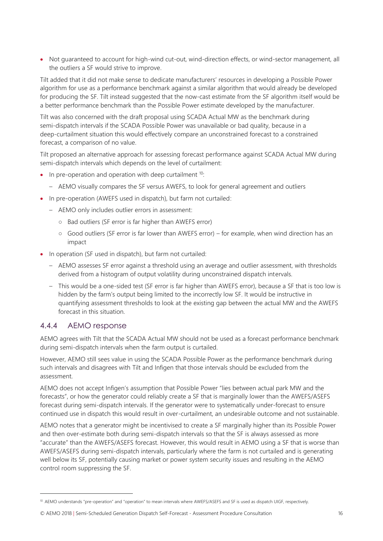• Not guaranteed to account for high-wind cut-out, wind-direction effects, or wind-sector management, all the outliers a SF would strive to improve.

Tilt added that it did not make sense to dedicate manufacturers' resources in developing a Possible Power algorithm for use as a performance benchmark against a similar algorithm that would already be developed for producing the SF. Tilt instead suggested that the now-cast estimate from the SF algorithm itself would be a better performance benchmark than the Possible Power estimate developed by the manufacturer.

Tilt was also concerned with the draft proposal using SCADA Actual MW as the benchmark during semi-dispatch intervals if the SCADA Possible Power was unavailable or bad quality, because in a deep-curtailment situation this would effectively compare an unconstrained forecast to a constrained forecast, a comparison of no value.

Tilt proposed an alternative approach for assessing forecast performance against SCADA Actual MW during semi-dispatch intervals which depends on the level of curtailment:

- In pre-operation and operation with deep curtailment  $10$ :
	- AEMO visually compares the SF versus AWEFS, to look for general agreement and outliers
- In pre-operation (AWEFS used in dispatch), but farm not curtailed:
	- AEMO only includes outlier errors in assessment:
		- Bad outliers (SF error is far higher than AWEFS error)
		- Good outliers (SF error is far lower than AWEFS error) for example, when wind direction has an impact
- In operation (SF used in dispatch), but farm not curtailed:
	- AEMO assesses SF error against a threshold using an average and outlier assessment, with thresholds derived from a histogram of output volatility during unconstrained dispatch intervals.
	- This would be a one-sided test (SF error is far higher than AWEFS error), because a SF that is too low is hidden by the farm's output being limited to the incorrectly low SF. It would be instructive in quantifying assessment thresholds to look at the existing gap between the actual MW and the AWEFS forecast in this situation.

#### <span id="page-15-0"></span>4.4.4 AEMO response

 $\overline{a}$ 

AEMO agrees with Tilt that the SCADA Actual MW should not be used as a forecast performance benchmark during semi-dispatch intervals when the farm output is curtailed.

However, AEMO still sees value in using the SCADA Possible Power as the performance benchmark during such intervals and disagrees with Tilt and Infigen that those intervals should be excluded from the assessment.

AEMO does not accept Infigen's assumption that Possible Power "lies between actual park MW and the forecasts", or how the generator could reliably create a SF that is marginally lower than the AWEFS/ASEFS forecast during semi-dispatch intervals. If the generator were to systematically under-forecast to ensure continued use in dispatch this would result in over-curtailment, an undesirable outcome and not sustainable.

AEMO notes that a generator might be incentivised to create a SF marginally higher than its Possible Power and then over-estimate both during semi-dispatch intervals so that the SF is always assessed as more "accurate" than the AWEFS/ASEFS forecast. However, this would result in AEMO using a SF that is worse than AWEFS/ASEFS during semi-dispatch intervals, particularly where the farm is not curtailed and is generating well below its SF, potentially causing market or power system security issues and resulting in the AEMO control room suppressing the SF.

<sup>10</sup> AEMO understands "pre-operation" and "operation" to mean intervals where AWEFS/ASEFS and SF is used as dispatch UIGF, respectively.

<sup>©</sup> AEMO 2018 | Semi-Scheduled Generation Dispatch Self-Forecast - Assessment Procedure Consultation 16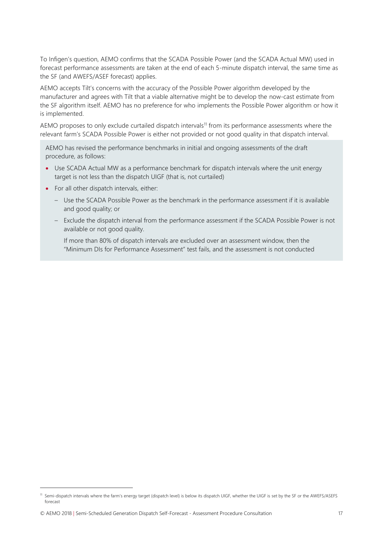To Infigen's question, AEMO confirms that the SCADA Possible Power (and the SCADA Actual MW) used in forecast performance assessments are taken at the end of each 5-minute dispatch interval, the same time as the SF (and AWEFS/ASEF forecast) applies.

AEMO accepts Tilt's concerns with the accuracy of the Possible Power algorithm developed by the manufacturer and agrees with Tilt that a viable alternative might be to develop the now-cast estimate from the SF algorithm itself. AEMO has no preference for who implements the Possible Power algorithm or how it is implemented.

AEMO proposes to only exclude curtailed dispatch intervals<sup>11</sup> from its performance assessments where the relevant farm's SCADA Possible Power is either not provided or not good quality in that dispatch interval.

AEMO has revised the performance benchmarks in initial and ongoing assessments of the draft procedure, as follows:

- Use SCADA Actual MW as a performance benchmark for dispatch intervals where the unit energy target is not less than the dispatch UIGF (that is, not curtailed)
- For all other dispatch intervals, either:
	- Use the SCADA Possible Power as the benchmark in the performance assessment if it is available and good quality; or
	- Exclude the dispatch interval from the performance assessment if the SCADA Possible Power is not available or not good quality.

If more than 80% of dispatch intervals are excluded over an assessment window, then the "Minimum DIs for Performance Assessment" test fails, and the assessment is not conducted

 $\overline{a}$ 

<sup>11</sup> Semi-dispatch intervals where the farm's energy target (dispatch level) is below its dispatch UIGF, whether the UIGF is set by the SF or the AWEFS/ASEFS forecast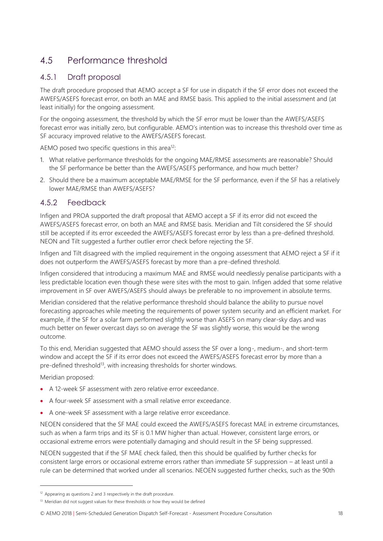# <span id="page-17-0"></span>4.5 Performance threshold

#### 4.5.1 Draft proposal

The draft procedure proposed that AEMO accept a SF for use in dispatch if the SF error does not exceed the AWEFS/ASEFS forecast error, on both an MAE and RMSE basis. This applied to the initial assessment and (at least initially) for the ongoing assessment.

For the ongoing assessment, the threshold by which the SF error must be lower than the AWEFS/ASEFS forecast error was initially zero, but configurable. AEMO's intention was to increase this threshold over time as SF accuracy improved relative to the AWEFS/ASEFS forecast.

AEMO posed two specific questions in this area<sup>12</sup>:

- 1. What relative performance thresholds for the ongoing MAE/RMSE assessments are reasonable? Should the SF performance be better than the AWEFS/ASEFS performance, and how much better?
- 2. Should there be a maximum acceptable MAE/RMSE for the SF performance, even if the SF has a relatively lower MAE/RMSE than AWEFS/ASEFS?

#### 4.5.2 Feedback

Infigen and PROA supported the draft proposal that AEMO accept a SF if its error did not exceed the AWEFS/ASEFS forecast error, on both an MAE and RMSE basis. Meridian and Tilt considered the SF should still be accepted if its error exceeded the AWEFS/ASEFS forecast error by less than a pre-defined threshold. NEON and Tilt suggested a further outlier error check before rejecting the SF.

Infigen and Tilt disagreed with the implied requirement in the ongoing assessment that AEMO reject a SF if it does not outperform the AWEFS/ASEFS forecast by more than a pre-defined threshold.

Infigen considered that introducing a maximum MAE and RMSE would needlessly penalise participants with a less predictable location even though these were sites with the most to gain. Infigen added that some relative improvement in SF over AWEFS/ASEFS should always be preferable to no improvement in absolute terms.

Meridian considered that the relative performance threshold should balance the ability to pursue novel forecasting approaches while meeting the requirements of power system security and an efficient market. For example, if the SF for a solar farm performed slightly worse than ASEFS on many clear-sky days and was much better on fewer overcast days so on average the SF was slightly worse, this would be the wrong outcome.

To this end, Meridian suggested that AEMO should assess the SF over a long-, medium-, and short-term window and accept the SF if its error does not exceed the AWEFS/ASEFS forecast error by more than a pre-defined threshold<sup>13</sup>, with increasing thresholds for shorter windows.

Meridian proposed:

 $\overline{a}$ 

- A 12-week SF assessment with zero relative error exceedance.
- A four-week SF assessment with a small relative error exceedance.
- A one-week SF assessment with a large relative error exceedance.

NEOEN considered that the SF MAE could exceed the AWEFS/ASEFS forecast MAE in extreme circumstances, such as when a farm trips and its SF is 0.1 MW higher than actual. However, consistent large errors, or occasional extreme errors were potentially damaging and should result in the SF being suppressed.

NEOEN suggested that if the SF MAE check failed, then this should be qualified by further checks for consistent large errors or occasional extreme errors rather than immediate SF suppression – at least until a rule can be determined that worked under all scenarios. NEOEN suggested further checks, such as the 90th

 $12$  Appearing as questions 2 and 3 respectively in the draft procedure.

 $13$  Meridian did not suggest values for these thresholds or how they would be defined

<sup>©</sup> AEMO 2018 | Semi-Scheduled Generation Dispatch Self-Forecast - Assessment Procedure Consultation 18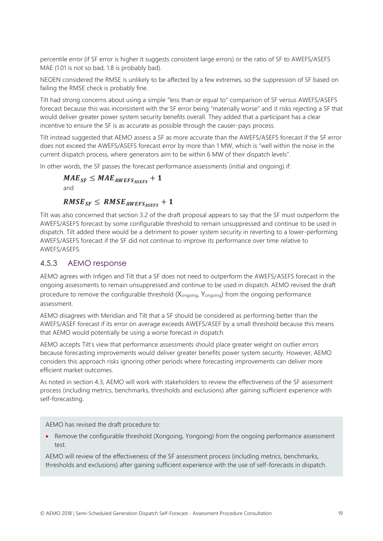percentile error (if SF error is higher it suggests consistent large errors) or the ratio of SF to AWEFS/ASEFS MAE (1.01 is not so bad, 1.8 is probably bad).

NEOEN considered the RMSE is unlikely to be affected by a few extremes, so the suppression of SF based on failing the RMSE check is probably fine.

Tilt had strong concerns about using a simple "less than or equal to" comparison of SF versus AWEFS/ASEFS forecast because this was inconsistent with the SF error being "materially worse" and it risks rejecting a SF that would deliver greater power system security benefits overall. They added that a participant has a clear incentive to ensure the SF is as accurate as possible through the causer-pays process.

Tilt instead suggested that AEMO assess a SF as more accurate than the AWEFS/ASEFS forecast if the SF error does not exceed the AWEFS/ASEFS forecast error by more than 1 MW, which is "well within the noise in the current dispatch process, where generators aim to be within 6 MW of their dispatch levels".

In other words, the SF passes the forecast performance assessments (initial and ongoing) if:

```
MAE_{SF} \leq MAE_{AWEFS_{ASFFS}} + 1and
```
### $RMSE_{SF} \leq RMSE_{AWEFS_{ASEES}} + 1$

Tilt was also concerned that section 3.2 of the draft proposal appears to say that the SF must outperform the AWEFS/ASEFS forecast by some configurable threshold to remain unsuppressed and continue to be used in dispatch. Tilt added there would be a detriment to power system security in reverting to a lower-performing AWEFS/ASEFS forecast if the SF did not continue to improve its performance over time relative to AWEFS/ASEFS.

#### 4.5.3 AEMO response

AEMO agrees with Infigen and Tilt that a SF does not need to outperform the AWEFS/ASEFS forecast in the ongoing assessments to remain unsuppressed and continue to be used in dispatch. AEMO revised the draft procedure to remove the configurable threshold (X<sub>ongoing</sub>, Y<sub>ongoing</sub>) from the ongoing performance assessment.

AEMO disagrees with Meridian and Tilt that a SF should be considered as performing better than the AWEFS/ASEF forecast if its error on average exceeds AWEFS/ASEF by a small threshold because this means that AEMO would potentially be using a worse forecast in dispatch.

AEMO accepts Tilt's view that performance assessments should place greater weight on outlier errors because forecasting improvements would deliver greater benefits power system security. However, AEMO considers this approach risks ignoring other periods where forecasting improvements can deliver more efficient market outcomes.

As noted in section [4.3,](#page-12-0) AEMO will work with stakeholders to review the effectiveness of the SF assessment process (including metrics, benchmarks, thresholds and exclusions) after gaining sufficient experience with self-forecasting.

AEMO has revised the draft procedure to:

• Remove the configurable threshold (Xongoing, Yongoing) from the ongoing performance assessment test.

AEMO will review of the effectiveness of the SF assessment process (including metrics, benchmarks, thresholds and exclusions) after gaining sufficient experience with the use of self-forecasts in dispatch.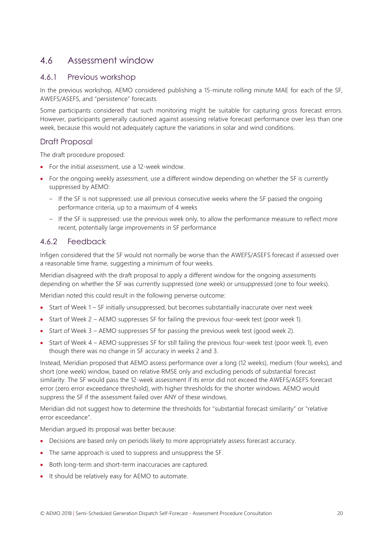### <span id="page-19-0"></span>4.6 Assessment window

#### 4.6.1 Previous workshop

In the previous workshop, AEMO considered publishing a 15-minute rolling minute MAE for each of the SF, AWEFS/ASEFS, and "persistence" forecasts.

Some participants considered that such monitoring might be suitable for capturing gross forecast errors. However, participants generally cautioned against assessing relative forecast performance over less than one week, because this would not adequately capture the variations in solar and wind conditions.

#### Draft Proposal

The draft procedure proposed:

- For the initial assessment, use a 12-week window.
- For the ongoing weekly assessment, use a different window depending on whether the SF is currently suppressed by AEMO:
	- If the SF is not suppressed: use all previous consecutive weeks where the SF passed the ongoing performance criteria, up to a maximum of 4 weeks
	- If the SF is suppressed: use the previous week only, to allow the performance measure to reflect more recent, potentially large improvements in SF performance

#### 4.6.2 Feedback

Infigen considered that the SF would not normally be worse than the AWEFS/ASEFS forecast if assessed over a reasonable time frame, suggesting a minimum of four weeks.

Meridian disagreed with the draft proposal to apply a different window for the ongoing assessments depending on whether the SF was currently suppressed (one week) or unsuppressed (one to four weeks).

Meridian noted this could result in the following perverse outcome:

- Start of Week 1 SF initially unsuppressed, but becomes substantially inaccurate over next week
- Start of Week 2 AEMO suppresses SF for failing the previous four-week test (poor week 1).
- Start of Week 3 AEMO suppresses SF for passing the previous week test (good week 2).
- Start of Week 4 AEMO suppresses SF for still failing the previous four-week test (poor week 1), even though there was no change in SF accuracy in weeks 2 and 3.

Instead, Meridian proposed that AEMO assess performance over a long (12 weeks), medium (four weeks), and short (one week) window, based on relative RMSE only and excluding periods of substantial forecast similarity. The SF would pass the 12-week assessment if its error did not exceed the AWEFS/ASEFS forecast error (zero error exceedance threshold), with higher thresholds for the shorter windows. AEMO would suppress the SF if the assessment failed over ANY of these windows.

Meridian did not suggest how to determine the thresholds for "substantial forecast similarity" or "relative error exceedance".

Meridian argued its proposal was better because:

- Decisions are based only on periods likely to more appropriately assess forecast accuracy.
- The same approach is used to suppress and unsuppress the SF.
- Both long-term and short-term inaccuracies are captured.
- It should be relatively easy for AEMO to automate.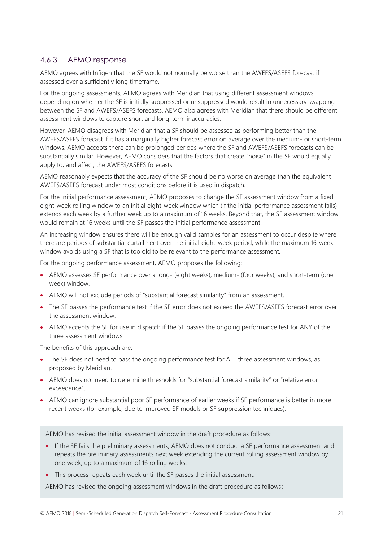#### 4.6.3 AEMO response

AEMO agrees with Infigen that the SF would not normally be worse than the AWEFS/ASEFS forecast if assessed over a sufficiently long timeframe.

For the ongoing assessments, AEMO agrees with Meridian that using different assessment windows depending on whether the SF is initially suppressed or unsuppressed would result in unnecessary swapping between the SF and AWEFS/ASEFS forecasts. AEMO also agrees with Meridian that there should be different assessment windows to capture short and long-term inaccuracies.

However, AEMO disagrees with Meridian that a SF should be assessed as performing better than the AWEFS/ASEFS forecast if it has a marginally higher forecast error on average over the medium- or short-term windows. AEMO accepts there can be prolonged periods where the SF and AWEFS/ASEFS forecasts can be substantially similar. However, AEMO considers that the factors that create "noise" in the SF would equally apply to, and affect, the AWEFS/ASEFS forecasts.

AEMO reasonably expects that the accuracy of the SF should be no worse on average than the equivalent AWEFS/ASEFS forecast under most conditions before it is used in dispatch.

For the initial performance assessment, AEMO proposes to change the SF assessment window from a fixed eight-week rolling window to an initial eight-week window which (if the initial performance assessment fails) extends each week by a further week up to a maximum of 16 weeks. Beyond that, the SF assessment window would remain at 16 weeks until the SF passes the initial performance assessment.

An increasing window ensures there will be enough valid samples for an assessment to occur despite where there are periods of substantial curtailment over the initial eight-week period, while the maximum 16-week window avoids using a SF that is too old to be relevant to the performance assessment.

For the ongoing performance assessment, AEMO proposes the following:

- AEMO assesses SF performance over a long- (eight weeks), medium- (four weeks), and short-term (one week) window.
- AEMO will not exclude periods of "substantial forecast similarity" from an assessment.
- The SF passes the performance test if the SF error does not exceed the AWEFS/ASEFS forecast error over the assessment window.
- AEMO accepts the SF for use in dispatch if the SF passes the ongoing performance test for ANY of the three assessment windows.

The benefits of this approach are:

- The SF does not need to pass the ongoing performance test for ALL three assessment windows, as proposed by Meridian.
- AEMO does not need to determine thresholds for "substantial forecast similarity" or "relative error exceedance".
- AEMO can ignore substantial poor SF performance of earlier weeks if SF performance is better in more recent weeks (for example, due to improved SF models or SF suppression techniques).

AEMO has revised the initial assessment window in the draft procedure as follows:

- If the SF fails the preliminary assessments, AEMO does not conduct a SF performance assessment and repeats the preliminary assessments next week extending the current rolling assessment window by one week, up to a maximum of 16 rolling weeks.
- This process repeats each week until the SF passes the initial assessment.

AEMO has revised the ongoing assessment windows in the draft procedure as follows: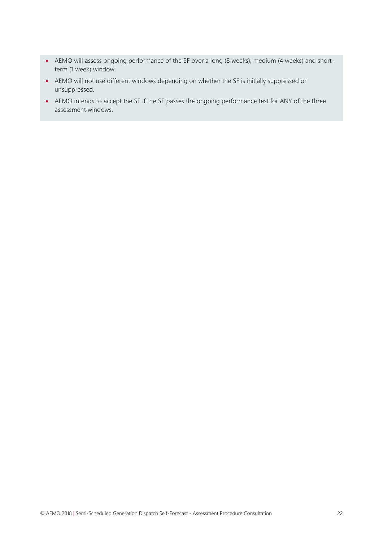- AEMO will assess ongoing performance of the SF over a long (8 weeks), medium (4 weeks) and shortterm (1 week) window.
- AEMO will not use different windows depending on whether the SF is initially suppressed or unsuppressed.
- AEMO intends to accept the SF if the SF passes the ongoing performance test for ANY of the three assessment windows.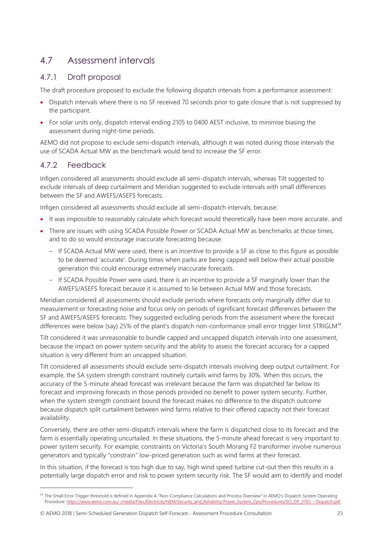# <span id="page-22-0"></span>4.7 Assessment intervals

#### 4.7.1 Draft proposal

The draft procedure proposed to exclude the following dispatch intervals from a performance assessment:

- Dispatch intervals where there is no SF received 70 seconds prior to gate closure that is not suppressed by the participant.
- For solar units only, dispatch interval ending 2105 to 0400 AEST inclusive, to minimise biasing the assessment during night-time periods.

AEMO did not propose to exclude semi-dispatch intervals, although it was noted during those intervals the use of SCADA Actual MW as the benchmark would tend to increase the SF error.

### 4.7.2 Feedback

 $\overline{a}$ 

Infigen considered all assessments should exclude all semi-dispatch intervals, whereas Tilt suggested to exclude intervals of deep curtailment and Meridian suggested to exclude intervals with small differences between the SF and AWEFS/ASEFS forecasts.

Infigen considered all assessments should exclude all semi-dispatch intervals, because:

- It was impossible to reasonably calculate which forecast would theoretically have been more accurate, and
- There are issues with using SCADA Possible Power or SCADA Actual MW as benchmarks at those times, and to do so would encourage inaccurate forecasting because:
	- If SCADA Actual MW were used, there is an incentive to provide a SF as close to this figure as possible to be deemed 'accurate'. During times when parks are being capped well below their actual possible generation this could encourage extremely inaccurate forecasts.
	- If SCADA Possible Power were used, there is an incentive to provide a SF marginally lower than the AWEFS/ASEFS forecast because it is assumed to lie between Actual MW and those forecasts.

Meridian considered all assessments should exclude periods where forecasts only marginally differ due to measurement or forecasting noise and focus only on periods of significant forecast differences between the SF and AWEFS/ASEFS forecasts. They suggested excluding periods from the assessment where the forecast differences were below (say) 25% of the plant's dispatch non-conformance small error trigger limit STRIGLM<sup>14</sup>.

Tilt considered it was unreasonable to bundle capped and uncapped dispatch intervals into one assessment, because the impact on power system security and the ability to assess the forecast accuracy for a capped situation is very different from an uncapped situation.

Tilt considered all assessments should exclude semi-dispatch intervals involving deep output curtailment. For example, the SA system strength constraint routinely curtails wind farms by 30%. When this occurs, the accuracy of the 5-minute ahead forecast was irrelevant because the farm was dispatched far below its forecast and improving forecasts in those periods provided no benefit to power system security. Further, when the system strength constraint bound the forecast makes no difference to the dispatch outcome because dispatch split curtailment between wind farms relative to their offered capacity not their forecast availability.

Conversely, there are other semi-dispatch intervals where the farm is dispatched close to its forecast and the farm is essentially operating uncurtailed. In these situations, the 5-minute ahead forecast is very important to power system security. For example, constraints on Victoria's South Morang F2 transformer involve numerous generators and typically "constrain" low-priced generation such as wind farms at their forecast.

In this situation, if the forecast is too high due to say, high wind speed turbine cut-out then this results in a potentially large dispatch error and risk to power system security risk. The SF would aim to identify and model

© AEMO 2018 | Semi-Scheduled Generation Dispatch Self-Forecast - Assessment Procedure Consultation 23

<sup>&</sup>lt;sup>14</sup> The Small Error Trigger threshold is defined in Appendix A "Non-Compliance Calculations and Process Overview" in AEMO's Dispatch System Operating Procedure: [https://www.aemo.com.au/-/media/Files/Electricity/NEM/Security\\_and\\_Reliability/Power\\_System\\_Ops/Procedures/SO\\_OP\\_3705---Dispatch.pdf.](https://www.aemo.com.au/-/media/Files/Electricity/NEM/Security_and_Reliability/Power_System_Ops/Procedures/SO_OP_3705---Dispatch.pdf)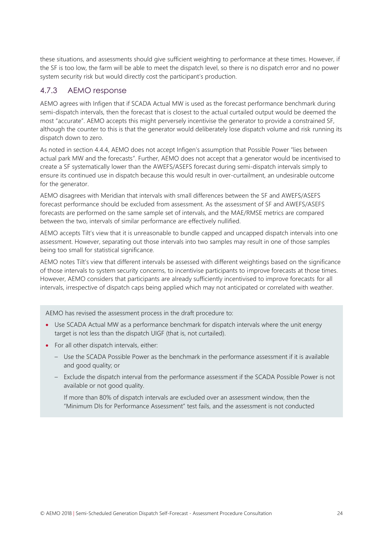these situations, and assessments should give sufficient weighting to performance at these times. However, if the SF is too low, the farm will be able to meet the dispatch level, so there is no dispatch error and no power system security risk but would directly cost the participant's production.

#### 4.7.3 AEMO response

AEMO agrees with Infigen that if SCADA Actual MW is used as the forecast performance benchmark during semi-dispatch intervals, then the forecast that is closest to the actual curtailed output would be deemed the most "accurate". AEMO accepts this might perversely incentivise the generator to provide a constrained SF, although the counter to this is that the generator would deliberately lose dispatch volume and risk running its dispatch down to zero.

As noted in section [4.4.4,](#page-15-0) AEMO does not accept Infigen's assumption that Possible Power "lies between actual park MW and the forecasts". Further, AEMO does not accept that a generator would be incentivised to create a SF systematically lower than the AWEFS/ASEFS forecast during semi-dispatch intervals simply to ensure its continued use in dispatch because this would result in over-curtailment, an undesirable outcome for the generator.

AEMO disagrees with Meridian that intervals with small differences between the SF and AWEFS/ASEFS forecast performance should be excluded from assessment. As the assessment of SF and AWEFS/ASEFS forecasts are performed on the same sample set of intervals, and the MAE/RMSE metrics are compared between the two, intervals of similar performance are effectively nullified.

AEMO accepts Tilt's view that it is unreasonable to bundle capped and uncapped dispatch intervals into one assessment. However, separating out those intervals into two samples may result in one of those samples being too small for statistical significance.

AEMO notes Tilt's view that different intervals be assessed with different weightings based on the significance of those intervals to system security concerns, to incentivise participants to improve forecasts at those times. However, AEMO considers that participants are already sufficiently incentivised to improve forecasts for all intervals, irrespective of dispatch caps being applied which may not anticipated or correlated with weather.

AEMO has revised the assessment process in the draft procedure to:

- Use SCADA Actual MW as a performance benchmark for dispatch intervals where the unit energy target is not less than the dispatch UIGF (that is, not curtailed).
- For all other dispatch intervals, either:
	- Use the SCADA Possible Power as the benchmark in the performance assessment if it is available and good quality; or
	- Exclude the dispatch interval from the performance assessment if the SCADA Possible Power is not available or not good quality.

If more than 80% of dispatch intervals are excluded over an assessment window, then the "Minimum DIs for Performance Assessment" test fails, and the assessment is not conducted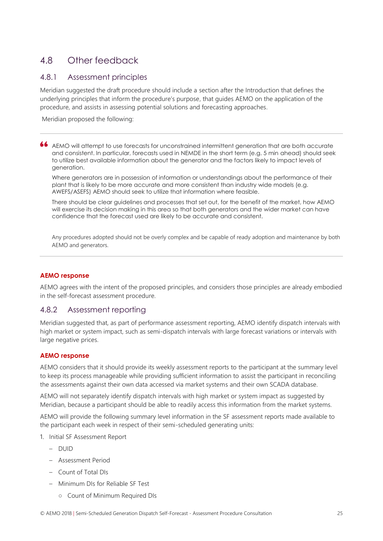# <span id="page-24-0"></span>4.8 Other feedback

#### 4.8.1 Assessment principles

Meridian suggested the draft procedure should include a section after the Introduction that defines the underlying principles that inform the procedure's purpose, that guides AEMO on the application of the procedure, and assists in assessing potential solutions and forecasting approaches.

Meridian proposed the following:

AEMO will attempt to use forecasts for unconstrained intermittent generation that are both accurate and consistent. In particular, forecasts used in NEMDE in the short term (e.g. 5 min ahead) should seek to utilize best available information about the generator and the factors likely to impact levels of generation.

Where generators are in possession of information or understandings about the performance of their plant that is likely to be more accurate and more consistent than industry wide models (e.g. AWEFS/ASEFS) AEMO should seek to utilize that information where feasible.

There should be clear guidelines and processes that set out, for the benefit of the market, how AEMO will exercise its decision making in this area so that both generators and the wider market can have confidence that the forecast used are likely to be accurate and consistent.

Any procedures adopted should not be overly complex and be capable of ready adoption and maintenance by both AEMO and generators.

#### **AEMO response**

AEMO agrees with the intent of the proposed principles, and considers those principles are already embodied in the self-forecast assessment procedure.

#### 4.8.2 Assessment reporting

Meridian suggested that, as part of performance assessment reporting, AEMO identify dispatch intervals with high market or system impact, such as semi-dispatch intervals with large forecast variations or intervals with large negative prices.

#### **AEMO response**

AEMO considers that it should provide its weekly assessment reports to the participant at the summary level to keep its process manageable while providing sufficient information to assist the participant in reconciling the assessments against their own data accessed via market systems and their own SCADA database.

AEMO will not separately identify dispatch intervals with high market or system impact as suggested by Meridian, because a participant should be able to readily access this information from the market systems.

AEMO will provide the following summary level information in the SF assessment reports made available to the participant each week in respect of their semi-scheduled generating units:

- 1. Initial SF Assessment Report
	- $-$  DUID
	- Assessment Period
	- Count of Total DIs
	- Minimum DIs for Reliable SF Test
		- Count of Minimum Required DIs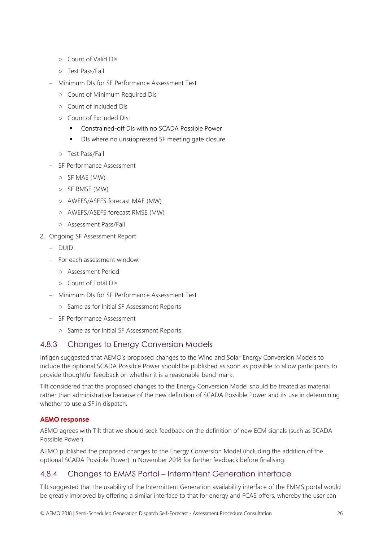- Count of Valid DIs
- Test Pass/Fail
- Minimum DIs for SF Performance Assessment Test
	- Count of Minimum Required DIs
	- Count of Included DIs
	- Count of Excluded DIs:
		- Constrained-off DIs with no SCADA Possible Power
		- DIs where no unsuppressed SF meeting gate closure
	- Test Pass/Fail
- SF Performance Assessment
	- SF MAE (MW)
	- SF RMSE (MW)
	- AWEFS/ASEFS forecast MAE (MW)
	- AWEFS/ASEFS forecast RMSE (MW)
	- Assessment Pass/Fail
- 2. Ongoing SF Assessment Report
	- DUID
	- For each assessment window:
		- Assessment Period
		- Count of Total DIs
	- Minimum DIs for SF Performance Assessment Test
		- Same as for Initial SF Assessment Reports
	- SF Performance Assessment
		- Same as for Initial SF Assessment Reports.

#### 4.8.3 Changes to Energy Conversion Models

Infigen suggested that AEMO's proposed changes to the Wind and Solar Energy Conversion Models to include the optional SCADA Possible Power should be published as soon as possible to allow participants to provide thoughtful feedback on whether it is a reasonable benchmark.

Tilt considered that the proposed changes to the Energy Conversion Model should be treated as material rather than administrative because of the new definition of SCADA Possible Power and its use in determining whether to use a SF in dispatch.

#### **AEMO response**

AEMO agrees with Tilt that we should seek feedback on the definition of new ECM signals (such as SCADA Possible Power).

AEMO published the proposed changes to the Energy Conversion Model (including the addition of the optional SCADA Possible Power) in November 2018 for further feedback before finalising.

#### 4.8.4 Changes to EMMS Portal – Intermittent Generation interface

Tilt suggested that the usability of the Intermittent Generation availability interface of the EMMS portal would be greatly improved by offering a similar interface to that for energy and FCAS offers, whereby the user can